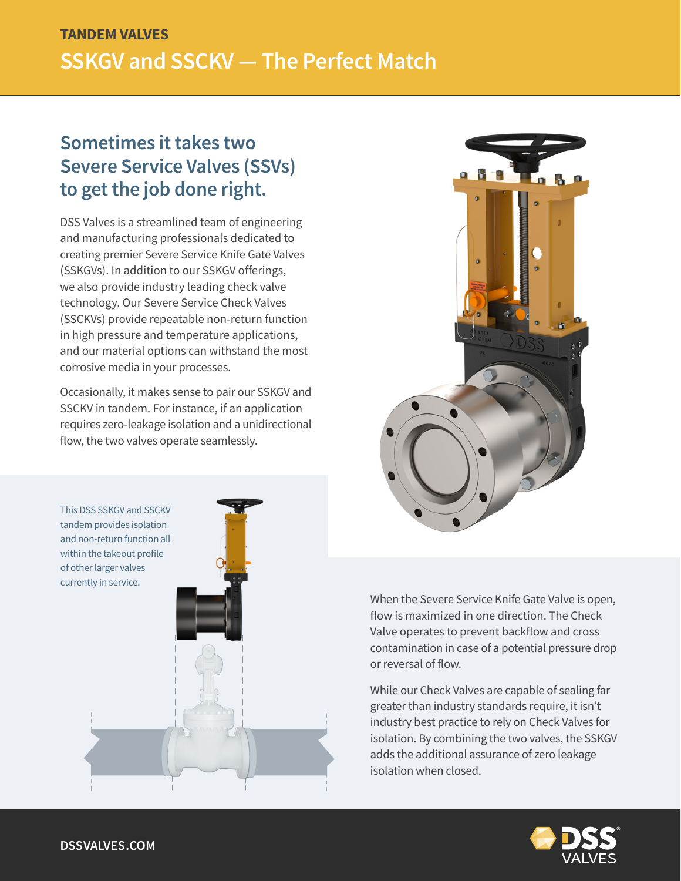# **TANDEM VALVES SSKGV and SSCKV — The Perfect Match**

## **Sometimes it takes two Severe Service Valves (SSVs) to get the job done right.**

DSS Valves is a streamlined team of engineering and manufacturing professionals dedicated to creating premier Severe Service Knife Gate Valves (SSKGVs). In addition to our SSKGV offerings, we also provide industry leading check valve technology. Our Severe Service Check Valves (SSCKVs) provide repeatable non-return function in high pressure and temperature applications, and our material options can withstand the most corrosive media in your processes.

Occasionally, it makes sense to pair our SSKGV and SSCKV in tandem. For instance, if an application requires zero-leakage isolation and a unidirectional flow, the two valves operate seamlessly.





When the Severe Service Knife Gate Valve is open, flow is maximized in one direction. The Check Valve operates to prevent backflow and cross contamination in case of a potential pressure drop or reversal of flow.

While our Check Valves are capable of sealing far greater than industry standards require, it isn't industry best practice to rely on Check Valves for isolation. By combining the two valves, the SSKGV adds the additional assurance of zero leakage isolation when closed.